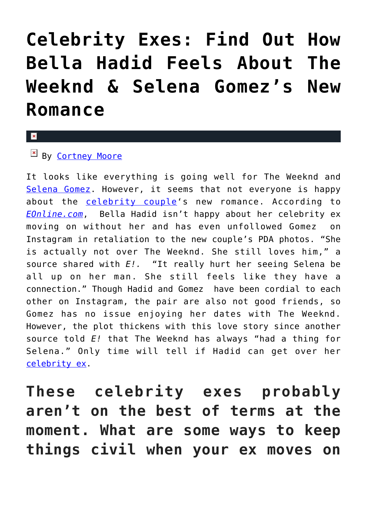# **[Celebrity Exes: Find Out How](https://cupidspulse.com/116318/celebrity-exes-bella-hadid-the-weeknd-selena-gomez/) [Bella Hadid Feels About The](https://cupidspulse.com/116318/celebrity-exes-bella-hadid-the-weeknd-selena-gomez/) [Weeknd & Selena Gomez's New](https://cupidspulse.com/116318/celebrity-exes-bella-hadid-the-weeknd-selena-gomez/) [Romance](https://cupidspulse.com/116318/celebrity-exes-bella-hadid-the-weeknd-selena-gomez/)**

#### x

### $By$  [Cortney Moore](http://cupidspulse.com/107134/cortney-moore/)

It looks like everything is going well for The Weeknd and [Selena Gomez](http://cupidspulse.com/89073/selena-gomez/). However, it seems that not everyone is happy about the [celebrity couple](http://cupidspulse.com/celebrity-relationships/long-term-relationships-flings/)'s new romance. According to *[EOnline.com](http://www.eonline.com/news/822228/here-s-how-bella-hadid-really-feels-about-the-weeknd-and-selena-gomez-s-new-romance)*, Bella Hadid isn't happy about her celebrity ex moving on without her and has even unfollowed Gomez on Instagram in retaliation to the new couple's PDA photos. "She is actually not over The Weeknd. She still loves him," a source shared with *E!.* "It really hurt her seeing Selena be all up on her man. She still feels like they have a connection." Though Hadid and Gomez have been cordial to each other on Instagram, the pair are also not good friends, so Gomez has no issue enjoying her dates with The Weeknd. However, the plot thickens with this love story since another source told *E!* that The Weeknd has always "had a thing for Selena." Only time will tell if Hadid can get over her [celebrity ex](http://cupidspulse.com/celebrity-news/celebrity-break-ups/).

**These celebrity exes probably aren't on the best of terms at the moment. What are some ways to keep things civil when your ex moves on**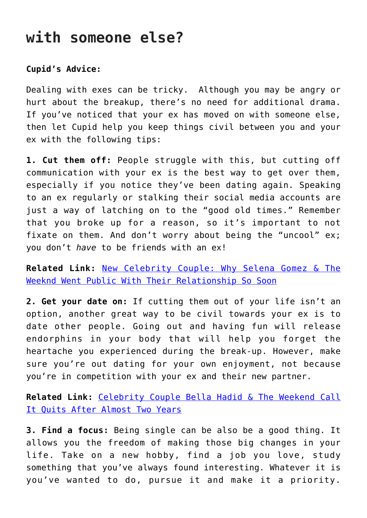## **with someone else?**

#### **Cupid's Advice:**

Dealing with exes can be tricky. Although you may be angry or hurt about the breakup, there's no need for additional drama. If you've noticed that your ex has moved on with someone else, then let Cupid help you keep things civil between you and your ex with the following tips:

**1. Cut them off:** People struggle with this, but cutting off communication with your ex is the best way to get over them, especially if you notice they've been dating again. Speaking to an ex regularly or stalking their social media accounts are just a way of latching on to the "good old times." Remember that you broke up for a reason, so it's important to not fixate on them. And don't worry about being the "uncool" ex; you don't *have* to be friends with an ex!

**Related Link:** [New Celebrity Couple: Why Selena Gomez & The](http://cupidspulse.com/116282/new-celebrity-couple-selena-gomez-the-weeknd-public-relationship-so-soon/) [Weeknd Went Public With Their Relationship So Soon](http://cupidspulse.com/116282/new-celebrity-couple-selena-gomez-the-weeknd-public-relationship-so-soon/)

**2. Get your date on:** If cutting them out of your life isn't an option, another great way to be civil towards your ex is to date other people. Going out and having fun will release endorphins in your body that will help you forget the heartache you experienced during the break-up. However, make sure you're out dating for your own enjoyment, not because you're in competition with your ex and their new partner.

**Related Link:** [Celebrity Couple Bella Hadid & The Weekend Call](http://cupidspulse.com/115544/celebrity-couple-bella-hadid-the-weekend-break-up/) [It Quits After Almost Two Years](http://cupidspulse.com/115544/celebrity-couple-bella-hadid-the-weekend-break-up/)

**3. Find a focus:** Being single can be also be a good thing. It allows you the freedom of making those big changes in your life. Take on a new hobby, find a job you love, study something that you've always found interesting. Whatever it is you've wanted to do, pursue it and make it a priority.